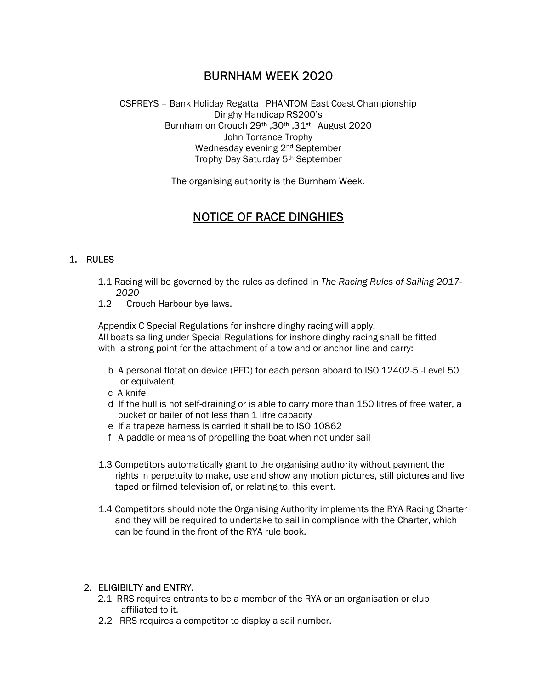## BURNHAM WEEK 2020

OSPREYS – Bank Holiday Regatta PHANTOM East Coast Championship Dinghy Handicap RS200's Burnham on Crouch 29th ,30th ,31st August 2020 John Torrance Trophy Wednesday evening 2nd September Trophy Day Saturday 5th September

The organising authority is the Burnham Week.

# NOTICE OF RACE DINGHIES

## 1. RULES

- 1.1 Racing will be governed by the rules as defined in The Racing Rules of Sailing 2017- 2020
- 1.2 Crouch Harbour bye laws.

Appendix C Special Regulations for inshore dinghy racing will apply. All boats sailing under Special Regulations for inshore dinghy racing shall be fitted with a strong point for the attachment of a tow and or anchor line and carry:

- b A personal flotation device (PFD) for each person aboard to ISO 12402-5 -Level 50 or equivalent
- c A knife
- d If the hull is not self-draining or is able to carry more than 150 litres of free water, a bucket or bailer of not less than 1 litre capacity
- e If a trapeze harness is carried it shall be to ISO 10862
- f A paddle or means of propelling the boat when not under sail
- 1.3 Competitors automatically grant to the organising authority without payment the rights in perpetuity to make, use and show any motion pictures, still pictures and live taped or filmed television of, or relating to, this event.
- 1.4 Competitors should note the Organising Authority implements the RYA Racing Charter and they will be required to undertake to sail in compliance with the Charter, which can be found in the front of the RYA rule book.

## 2. ELIGIBILTY and ENTRY.

- 2.1 RRS requires entrants to be a member of the RYA or an organisation or club affiliated to it.
- 2.2 RRS requires a competitor to display a sail number.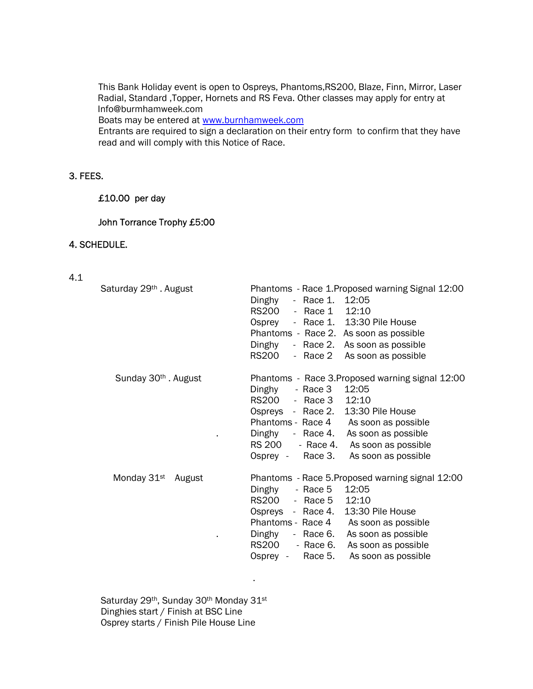This Bank Holiday event is open to Ospreys, Phantoms,RS200, Blaze, Finn, Mirror, Laser Radial, Standard ,Topper, Hornets and RS Feva. Other classes may apply for entry at Info@burmhamweek.com

Boats may be entered at www.burnhamweek.com

Entrants are required to sign a declaration on their entry form to confirm that they have read and will comply with this Notice of Race.

## 3. FEES.

## £10.00 per day

## John Torrance Trophy £5:00

## 4. SCHEDULE.

|  | ۰.  |
|--|-----|
|  | . . |
|  |     |

| Saturday 29 <sup>th</sup> . August | Phantoms - Race 1. Proposed warning Signal 12:00<br>$-$ Race 1.<br>12:05<br>Dinghy<br>RS200<br>12:10<br>- Race 1<br>- Race 1. 13:30 Pile House<br>Osprey<br>Phantoms - Race 2. As soon as possible<br>Dinghy<br>- Race 2. As soon as possible<br><b>RS200</b><br>- Race 2<br>As soon as possible                                                   |
|------------------------------------|----------------------------------------------------------------------------------------------------------------------------------------------------------------------------------------------------------------------------------------------------------------------------------------------------------------------------------------------------|
| Sunday 30 <sup>th</sup> . August   | Phantoms - Race 3. Proposed warning signal 12:00<br>12:05<br>- Race 3<br>Dinghy<br>RS200<br>12:10<br>- Race 3<br>13:30 Pile House<br>Ospreys - Race 2.<br>Phantoms - Race 4 As soon as possible<br>As soon as possible<br>Dinghy<br>$-$ Race 4.<br>RS 200<br>- Race 4.<br>As soon as possible<br>Osprey - Race 3.<br>As soon as possible           |
| Monday 31 <sup>st</sup><br>August  | Phantoms - Race 5. Proposed warning signal 12:00<br>12:05<br>Dinghy<br>- Race 5<br>RS200<br>12:10<br>- Race 5<br>13:30 Pile House<br>Ospreys - Race 4.<br>Phantoms - Race 4<br>As soon as possible<br>As soon as possible<br>Dinghy<br>- Race 6.<br><b>RS200</b><br>- Race 6.<br>As soon as possible<br>Race 5.<br>As soon as possible<br>Osprey - |

Saturday 29<sup>th</sup>, Sunday 30<sup>th</sup> Monday 31<sup>st</sup> Dinghies start / Finish at BSC Line Osprey starts / Finish Pile House Line

and the control of the control of the control of the control of the control of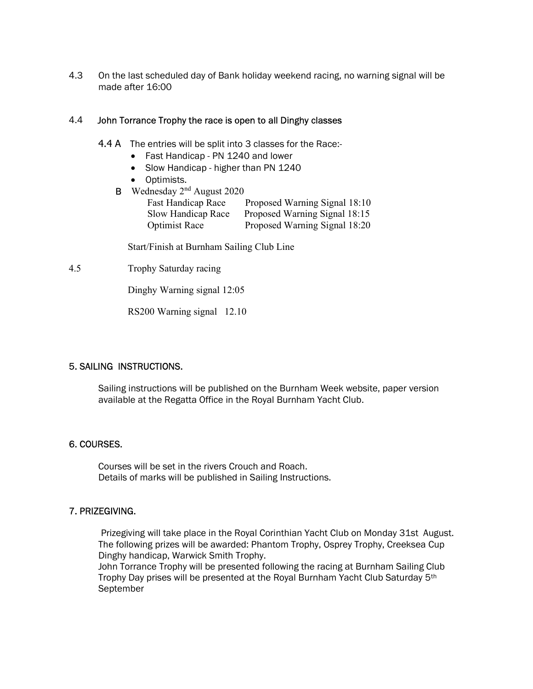4.3 On the last scheduled day of Bank holiday weekend racing, no warning signal will be made after 16:00

#### 4.4 John Torrance Trophy the race is open to all Dinghy classes

- 4.4 A The entries will be split into 3 classes for the Race:-
	- Fast Handicap PN 1240 and lower
	- Slow Handicap higher than PN 1240
	- Optimists.
	- B Wednesday 2<sup>nd</sup> August 2020

| <b>Fast Handicap Race</b> | Proposed Warning Signal 18:10 |
|---------------------------|-------------------------------|
| Slow Handicap Race        | Proposed Warning Signal 18:15 |
| <b>Optimist Race</b>      | Proposed Warning Signal 18:20 |

Start/Finish at Burnham Sailing Club Line

4.5 Trophy Saturday racing

Dinghy Warning signal 12:05

RS200 Warning signal 12.10

## 5. SAILING INSTRUCTIONS.

Sailing instructions will be published on the Burnham Week website, paper version available at the Regatta Office in the Royal Burnham Yacht Club.

## 6. COURSES.

 Courses will be set in the rivers Crouch and Roach. Details of marks will be published in Sailing Instructions.

## 7. PRIZEGIVING.

 Prizegiving will take place in the Royal Corinthian Yacht Club on Monday 31st August. The following prizes will be awarded: Phantom Trophy, Osprey Trophy, Creeksea Cup Dinghy handicap, Warwick Smith Trophy.

John Torrance Trophy will be presented following the racing at Burnham Sailing Club Trophy Day prises will be presented at the Royal Burnham Yacht Club Saturday 5th September